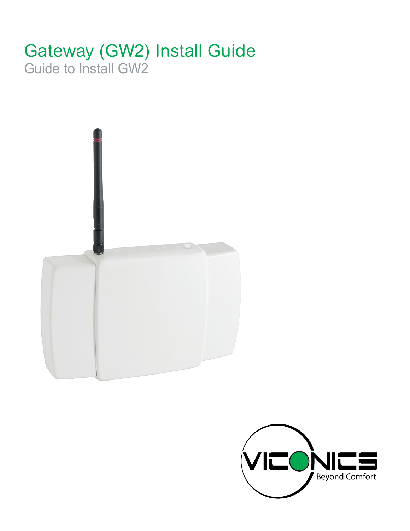### Gateway (GW2) Install Guide Guide to Install GW2



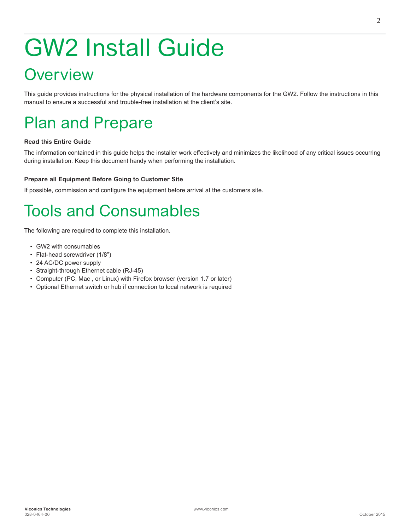# GW2 Install Guide

### **Overview**

This guide provides instructions for the physical installation of the hardware components for the GW2. Follow the instructions in this manual to ensure a successful and trouble-free installation at the client's site.

### Plan and Prepare

#### **Read this Entire Guide**

The information contained in this guide helps the installer work effectively and minimizes the likelihood of any critical issues occurring during installation. Keep this document handy when performing the installation.

#### **Prepare all Equipment Before Going to Customer Site**

If possible, commission and configure the equipment before arrival at the customers site.

## Tools and Consumables

The following are required to complete this installation.

- GW2 with consumables
- Flat-head screwdriver (1/8")
- 24 AC/DC power supply
- Straight-through Ethernet cable (RJ-45)
- Computer (PC, Mac , or Linux) with Firefox browser (version 1.7 or later)
- Optional Ethernet switch or hub if connection to local network is required